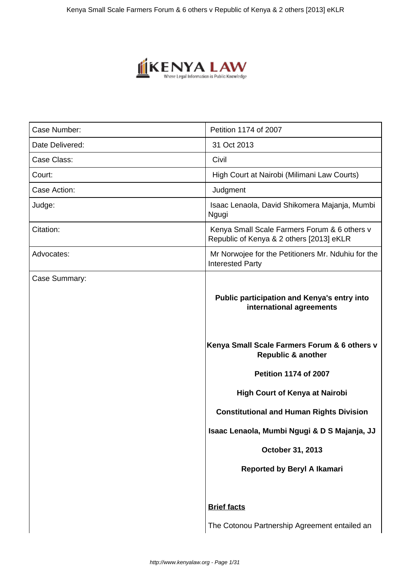

| Case Number:    | Petition 1174 of 2007                                                                                                                                                                                                             |
|-----------------|-----------------------------------------------------------------------------------------------------------------------------------------------------------------------------------------------------------------------------------|
| Date Delivered: | 31 Oct 2013                                                                                                                                                                                                                       |
| Case Class:     | Civil                                                                                                                                                                                                                             |
| Court:          | High Court at Nairobi (Milimani Law Courts)                                                                                                                                                                                       |
| Case Action:    | Judgment                                                                                                                                                                                                                          |
| Judge:          | Isaac Lenaola, David Shikomera Majanja, Mumbi<br>Ngugi                                                                                                                                                                            |
| Citation:       | Kenya Small Scale Farmers Forum & 6 others v<br>Republic of Kenya & 2 others [2013] eKLR                                                                                                                                          |
| Advocates:      | Mr Norwojee for the Petitioners Mr. Nduhiu for the<br><b>Interested Party</b>                                                                                                                                                     |
| Case Summary:   | Public participation and Kenya's entry into<br>international agreements<br>Kenya Small Scale Farmers Forum & 6 others v<br><b>Republic &amp; another</b><br><b>Petition 1174 of 2007</b><br><b>High Court of Kenya at Nairobi</b> |
|                 | <b>Constitutional and Human Rights Division</b><br>Isaac Lenaola, Mumbi Ngugi & D S Majanja, JJ                                                                                                                                   |
|                 | October 31, 2013                                                                                                                                                                                                                  |
|                 | <b>Reported by Beryl A Ikamari</b>                                                                                                                                                                                                |
|                 | <b>Brief facts</b>                                                                                                                                                                                                                |
|                 | The Cotonou Partnership Agreement entailed an                                                                                                                                                                                     |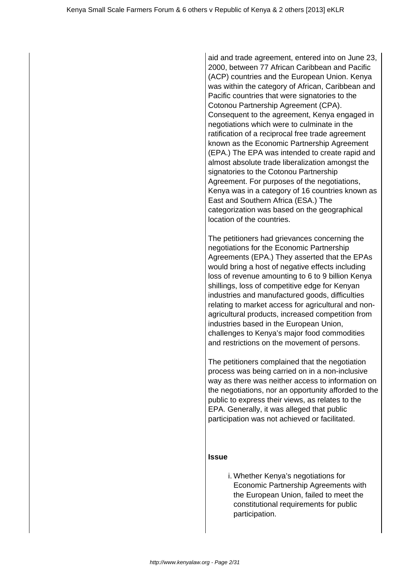aid and trade agreement, entered into on June 23, 2000, between 77 African Caribbean and Pacific (ACP) countries and the European Union. Kenya was within the category of African, Caribbean and Pacific countries that were signatories to the Cotonou Partnership Agreement (CPA). Consequent to the agreement, Kenya engaged in negotiations which were to culminate in the ratification of a reciprocal free trade agreement known as the Economic Partnership Agreement (EPA.) The EPA was intended to create rapid and almost absolute trade liberalization amongst the signatories to the Cotonou Partnership Agreement. For purposes of the negotiations, Kenya was in a category of 16 countries known as East and Southern Africa (ESA.) The categorization was based on the geographical location of the countries.

The petitioners had grievances concerning the negotiations for the Economic Partnership Agreements (EPA.) They asserted that the EPAs would bring a host of negative effects including loss of revenue amounting to 6 to 9 billion Kenya shillings, loss of competitive edge for Kenyan industries and manufactured goods, difficulties relating to market access for agricultural and nonagricultural products, increased competition from industries based in the European Union, challenges to Kenya's major food commodities and restrictions on the movement of persons.

The petitioners complained that the negotiation process was being carried on in a non-inclusive way as there was neither access to information on the negotiations, nor an opportunity afforded to the public to express their views, as relates to the EPA. Generally, it was alleged that public participation was not achieved or facilitated.

## **Issue**

i. Whether Kenya's negotiations for Economic Partnership Agreements with the European Union, failed to meet the constitutional requirements for public participation.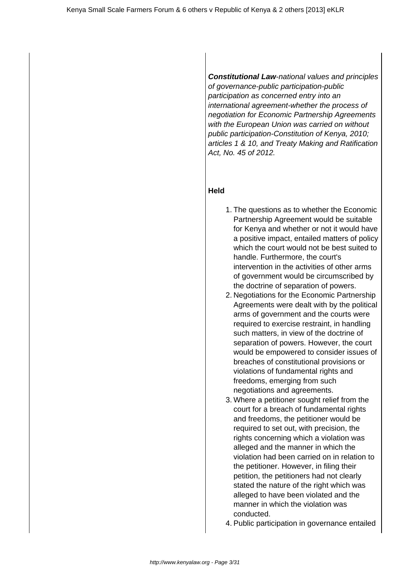**Constitutional Law**-national values and principles of governance-public participation-public participation as concerned entry into an international agreement-whether the process of negotiation for Economic Partnership Agreements with the European Union was carried on without public participation-Constitution of Kenya, 2010; articles 1 & 10, and Treaty Making and Ratification Act, No. 45 of 2012.

## **Held**

- 1. The questions as to whether the Economic Partnership Agreement would be suitable for Kenya and whether or not it would have a positive impact, entailed matters of policy which the court would not be best suited to handle. Furthermore, the court's intervention in the activities of other arms of government would be circumscribed by the doctrine of separation of powers.
- 2. Negotiations for the Economic Partnership Agreements were dealt with by the political arms of government and the courts were required to exercise restraint, in handling such matters, in view of the doctrine of separation of powers. However, the court would be empowered to consider issues of breaches of constitutional provisions or violations of fundamental rights and freedoms, emerging from such negotiations and agreements.
- 3. Where a petitioner sought relief from the court for a breach of fundamental rights and freedoms, the petitioner would be required to set out, with precision, the rights concerning which a violation was alleged and the manner in which the violation had been carried on in relation to the petitioner. However, in filing their petition, the petitioners had not clearly stated the nature of the right which was alleged to have been violated and the manner in which the violation was conducted.
- 4. Public participation in governance entailed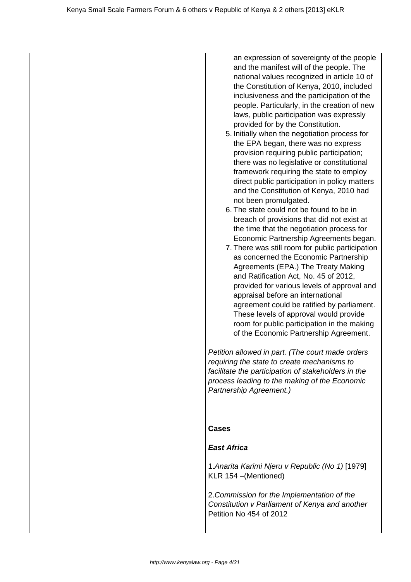an expression of sovereignty of the people and the manifest will of the people. The national values recognized in article 10 of the Constitution of Kenya, 2010, included inclusiveness and the participation of the people. Particularly, in the creation of new laws, public participation was expressly provided for by the Constitution.

- 5. Initially when the negotiation process for the EPA began, there was no express provision requiring public participation; there was no legislative or constitutional framework requiring the state to employ direct public participation in policy matters and the Constitution of Kenya, 2010 had not been promulgated.
- 6. The state could not be found to be in breach of provisions that did not exist at the time that the negotiation process for Economic Partnership Agreements began.
- 7. There was still room for public participation as concerned the Economic Partnership Agreements (EPA.) The Treaty Making and Ratification Act, No. 45 of 2012, provided for various levels of approval and appraisal before an international agreement could be ratified by parliament. These levels of approval would provide room for public participation in the making of the Economic Partnership Agreement.

Petition allowed in part. (The court made orders requiring the state to create mechanisms to facilitate the participation of stakeholders in the process leading to the making of the Economic Partnership Agreement.)

## **Cases**

## **East Africa**

1.Anarita Karimi Njeru v Republic (No 1) [1979] KLR 154 –(Mentioned)

2.Commission for the Implementation of the Constitution v Parliament of Kenya and another Petition No 454 of 2012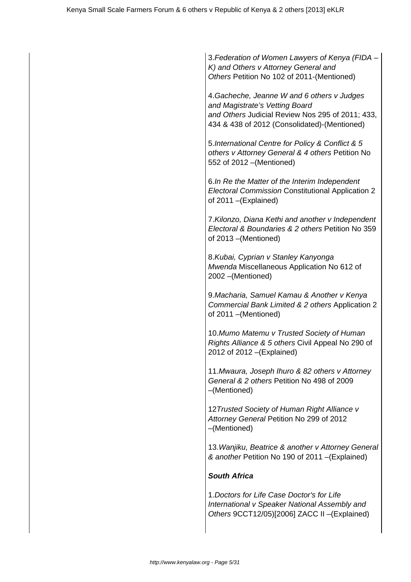3.Federation of Women Lawyers of Kenya (FIDA – K) and Others v Attorney General and Others Petition No 102 of 2011-(Mentioned)

4.Gacheche, Jeanne W and 6 others v Judges and Magistrate's Vetting Board and Others Judicial Review Nos 295 of 2011; 433, 434 & 438 of 2012 (Consolidated)-(Mentioned)

5.International Centre for Policy & Conflict & 5 others v Attorney General & 4 others Petition No 552 of 2012 –(Mentioned)

6.In Re the Matter of the Interim Independent Electoral Commission Constitutional Application 2 of 2011 –(Explained)

7.Kilonzo, Diana Kethi and another v Independent Electoral & Boundaries & 2 others Petition No 359 of 2013 –(Mentioned)

8.Kubai, Cyprian v Stanley Kanyonga Mwenda Miscellaneous Application No 612 of 2002 –(Mentioned)

9.Macharia, Samuel Kamau & Another v Kenya Commercial Bank Limited & 2 others Application 2 of 2011 –(Mentioned)

10.Mumo Matemu v Trusted Society of Human Rights Alliance & 5 others Civil Appeal No 290 of 2012 of 2012 –(Explained)

11.Mwaura, Joseph Ihuro & 82 others v Attorney General & 2 others Petition No 498 of 2009 –(Mentioned)

12 Trusted Society of Human Right Alliance v Attorney General Petition No 299 of 2012 –(Mentioned)

13.Wanjiku, Beatrice & another v Attorney General & another Petition No 190 of 2011 –(Explained)

# **South Africa**

1.Doctors for Life Case Doctor's for Life International v Speaker National Assembly and Others 9CCT12/05)[2006] ZACC II –(Explained)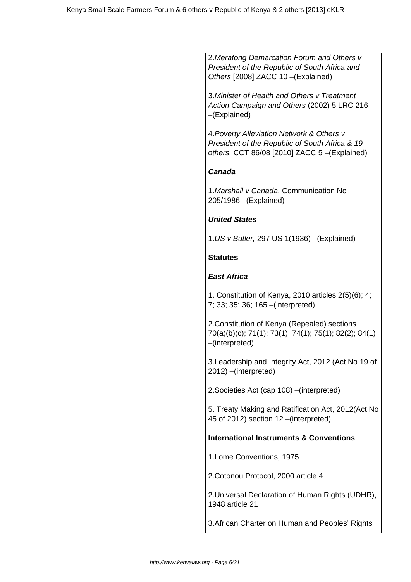2.Merafong Demarcation Forum and Others v President of the Republic of South Africa and Others [2008] ZACC 10 –(Explained)

3.Minister of Health and Others v Treatment Action Campaign and Others (2002) 5 LRC 216 –(Explained)

4.Poverty Alleviation Network & Others v President of the Republic of South Africa & 19 others, CCT 86/08 [2010] ZACC 5 –(Explained)

## **Canada**

1.Marshall v Canada, Communication No 205/1986 –(Explained)

## **United States**

1.US v Butler, 297 US 1(1936) –(Explained)

# **Statutes**

# **East Africa**

1. Constitution of Kenya, 2010 articles 2(5)(6); 4; 7; 33; 35; 36; 165 –(interpreted)

2.Constitution of Kenya (Repealed) sections 70(a)(b)(c); 71(1); 73(1); 74(1); 75(1); 82(2); 84(1) –(interpreted)

3.Leadership and Integrity Act, 2012 (Act No 19 of 2012) –(interpreted)

2.Societies Act (cap 108) –(interpreted)

5. Treaty Making and Ratification Act, 2012(Act No 45 of 2012) section 12 –(interpreted)

# **International Instruments & Conventions**

1.Lome Conventions, 1975

2.Cotonou Protocol, 2000 article 4

2.Universal Declaration of Human Rights (UDHR), 1948 article 21

3.African Charter on Human and Peoples' Rights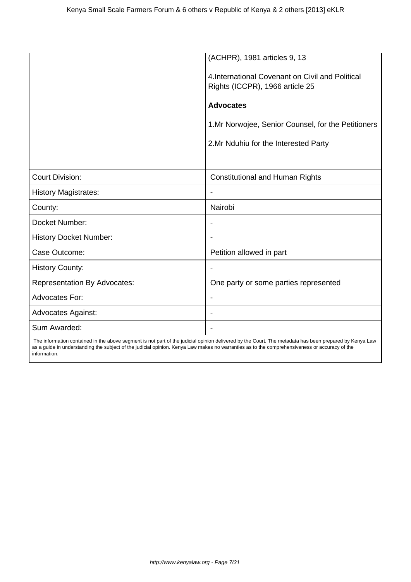|                                     | (ACHPR), 1981 articles 9, 13                                                        |
|-------------------------------------|-------------------------------------------------------------------------------------|
|                                     | 4. International Covenant on Civil and Political<br>Rights (ICCPR), 1966 article 25 |
|                                     | <b>Advocates</b>                                                                    |
|                                     | 1. Mr Norwojee, Senior Counsel, for the Petitioners                                 |
|                                     | 2. Mr Nduhiu for the Interested Party                                               |
|                                     |                                                                                     |
| <b>Court Division:</b>              | <b>Constitutional and Human Rights</b>                                              |
| <b>History Magistrates:</b>         |                                                                                     |
| County:                             | Nairobi                                                                             |
| Docket Number:                      | $\overline{\phantom{a}}$                                                            |
| <b>History Docket Number:</b>       | $\blacksquare$                                                                      |
| Case Outcome:                       | Petition allowed in part                                                            |
| <b>History County:</b>              | $\overline{\phantom{a}}$                                                            |
| <b>Representation By Advocates:</b> | One party or some parties represented                                               |
| <b>Advocates For:</b>               | $\overline{\phantom{a}}$                                                            |
| <b>Advocates Against:</b>           | $\overline{\phantom{a}}$                                                            |
| Sum Awarded:                        | $\blacksquare$                                                                      |

 The information contained in the above segment is not part of the judicial opinion delivered by the Court. The metadata has been prepared by Kenya Law as a guide in understanding the subject of the judicial opinion. Kenya Law makes no warranties as to the comprehensiveness or accuracy of the information.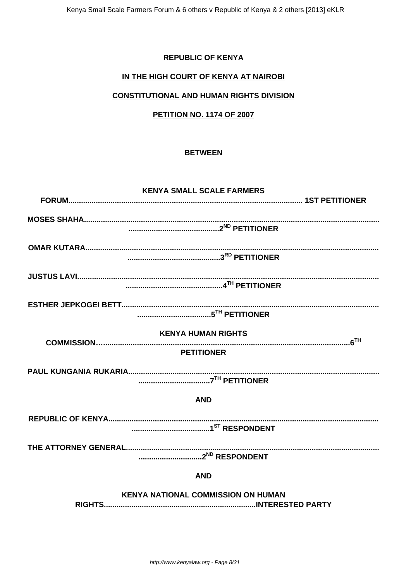# **REPUBLIC OF KENYA**

## IN THE HIGH COURT OF KENYA AT NAIROBI

# **CONSTITUTIONAL AND HUMAN RIGHTS DIVISION**

## **PETITION NO. 1174 OF 2007**

#### **BETWEEN**

| <b>KENYA SMALL SCALE FARMERS</b>          |
|-------------------------------------------|
|                                           |
|                                           |
|                                           |
|                                           |
|                                           |
|                                           |
|                                           |
|                                           |
|                                           |
|                                           |
|                                           |
| <b>KENYA HUMAN RIGHTS</b>                 |
| <b>PETITIONER</b>                         |
|                                           |
|                                           |
|                                           |
| <b>AND</b>                                |
|                                           |
|                                           |
|                                           |
|                                           |
|                                           |
|                                           |
| <b>AND</b>                                |
| <b>KENYA NATIONAL COMMISSION ON HUMAN</b> |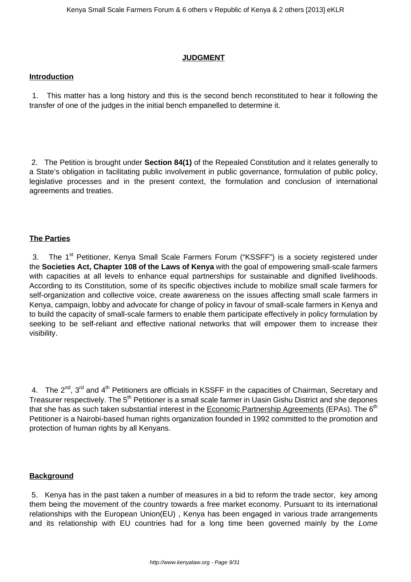#### **JUDGMENT**

#### **Introduction**

1. This matter has a long history and this is the second bench reconstituted to hear it following the transfer of one of the judges in the initial bench empanelled to determine it.

2. The Petition is brought under **Section 84(1)** of the Repealed Constitution and it relates generally to a State's obligation in facilitating public involvement in public governance, formulation of public policy, legislative processes and in the present context, the formulation and conclusion of international agreements and treaties.

## **The Parties**

3. The 1<sup>st</sup> Petitioner, Kenya Small Scale Farmers Forum ("KSSFF") is a society registered under the **Societies Act, Chapter 108 of the Laws of Kenya** with the goal of empowering small-scale farmers with capacities at all levels to enhance equal partnerships for sustainable and dignified livelihoods. According to its Constitution, some of its specific objectives include to mobilize small scale farmers for self-organization and collective voice, create awareness on the issues affecting small scale farmers in Kenya, campaign, lobby and advocate for change of policy in favour of small-scale farmers in Kenya and to build the capacity of small-scale farmers to enable them participate effectively in policy formulation by seeking to be self-reliant and effective national networks that will empower them to increase their visibility.

4. The 2<sup>nd</sup>, 3<sup>rd</sup> and 4<sup>th</sup> Petitioners are officials in KSSFF in the capacities of Chairman, Secretary and Treasurer respectively. The 5<sup>th</sup> Petitioner is a small scale farmer in Uasin Gishu District and she depones that she has as such taken substantial interest in the Economic Partnership Agreements (EPAs). The  $6<sup>th</sup>$ Petitioner is a Nairobi-based human rights organization founded in 1992 committed to the promotion and protection of human rights by all Kenyans.

## **Background**

5. Kenya has in the past taken a number of measures in a bid to reform the trade sector, key among them being the movement of the country towards a free market economy. Pursuant to its international relationships with the European Union(EU) , Kenya has been engaged in various trade arrangements and its relationship with EU countries had for a long time been governed mainly by the Lome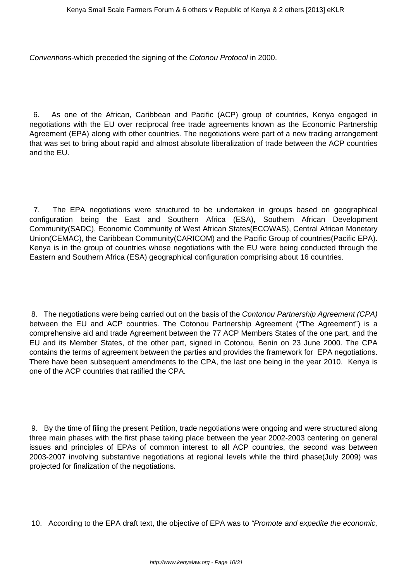Conventions-which preceded the signing of the Cotonou Protocol in 2000.

6. As one of the African, Caribbean and Pacific (ACP) group of countries, Kenya engaged in negotiations with the EU over reciprocal free trade agreements known as the Economic Partnership Agreement (EPA) along with other countries. The negotiations were part of a new trading arrangement that was set to bring about rapid and almost absolute liberalization of trade between the ACP countries and the EU.

7. The EPA negotiations were structured to be undertaken in groups based on geographical configuration being the East and Southern Africa (ESA), Southern African Development Community(SADC), Economic Community of West African States(ECOWAS), Central African Monetary Union(CEMAC), the Caribbean Community(CARICOM) and the Pacific Group of countries(Pacific EPA). Kenya is in the group of countries whose negotiations with the EU were being conducted through the Eastern and Southern Africa (ESA) geographical configuration comprising about 16 countries.

8. The negotiations were being carried out on the basis of the Contonou Partnership Agreement (CPA) between the EU and ACP countries. The Cotonou Partnership Agreement ("The Agreement") is a comprehensive aid and trade Agreement between the 77 ACP Members States of the one part, and the EU and its Member States, of the other part, signed in Cotonou, Benin on 23 June 2000. The CPA contains the terms of agreement between the parties and provides the framework for EPA negotiations. There have been subsequent amendments to the CPA, the last one being in the year 2010. Kenya is one of the ACP countries that ratified the CPA.

9. By the time of filing the present Petition, trade negotiations were ongoing and were structured along three main phases with the first phase taking place between the year 2002-2003 centering on general issues and principles of EPAs of common interest to all ACP countries, the second was between 2003-2007 involving substantive negotiations at regional levels while the third phase(July 2009) was projected for finalization of the negotiations.

10. According to the EPA draft text, the objective of EPA was to "Promote and expedite the economic,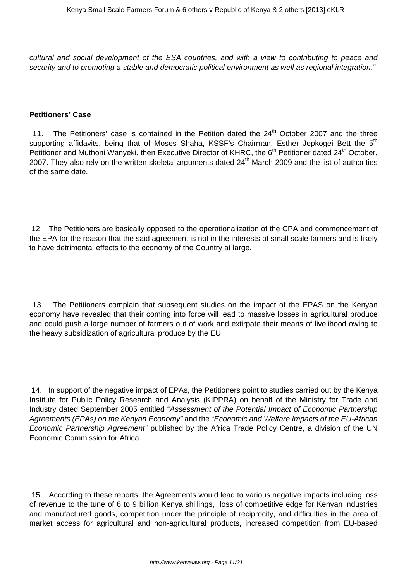cultural and social development of the ESA countries, and with a view to contributing to peace and security and to promoting a stable and democratic political environment as well as regional integration."

#### **Petitioners' Case**

11. The Petitioners' case is contained in the Petition dated the  $24<sup>th</sup>$  October 2007 and the three supporting affidavits, being that of Moses Shaha, KSSF's Chairman, Esther Jepkogei Bett the 5<sup>th</sup> Petitioner and Muthoni Wanyeki, then Executive Director of KHRC, the 6<sup>th</sup> Petitioner dated 24<sup>th</sup> October, 2007. They also rely on the written skeletal arguments dated 24<sup>th</sup> March 2009 and the list of authorities of the same date.

12. The Petitioners are basically opposed to the operationalization of the CPA and commencement of the EPA for the reason that the said agreement is not in the interests of small scale farmers and is likely to have detrimental effects to the economy of the Country at large.

13. The Petitioners complain that subsequent studies on the impact of the EPAS on the Kenyan economy have revealed that their coming into force will lead to massive losses in agricultural produce and could push a large number of farmers out of work and extirpate their means of livelihood owing to the heavy subsidization of agricultural produce by the EU.

14. In support of the negative impact of EPAs, the Petitioners point to studies carried out by the Kenya Institute for Public Policy Research and Analysis (KIPPRA) on behalf of the Ministry for Trade and Industry dated September 2005 entitled "Assessment of the Potential Impact of Economic Partnership Agreements (EPAs) on the Kenyan Economy" and the "Economic and Welfare Impacts of the EU-African Economic Partnership Agreement" published by the Africa Trade Policy Centre, a division of the UN Economic Commission for Africa.

15. According to these reports, the Agreements would lead to various negative impacts including loss of revenue to the tune of 6 to 9 billion Kenya shillings, loss of competitive edge for Kenyan industries and manufactured goods, competition under the principle of reciprocity, and difficulties in the area of market access for agricultural and non-agricultural products, increased competition from EU-based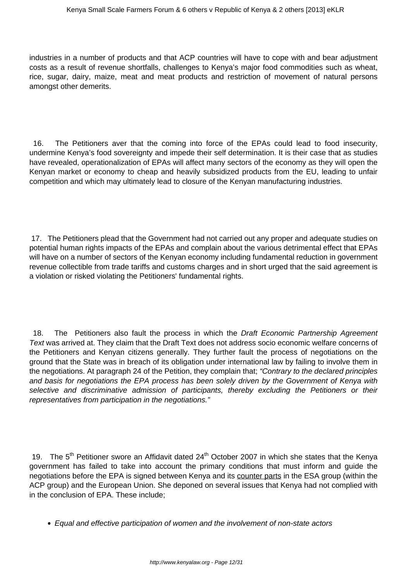industries in a number of products and that ACP countries will have to cope with and bear adjustment costs as a result of revenue shortfalls, challenges to Kenya's major food commodities such as wheat, rice, sugar, dairy, maize, meat and meat products and restriction of movement of natural persons amongst other demerits.

16. The Petitioners aver that the coming into force of the EPAs could lead to food insecurity, undermine Kenya's food sovereignty and impede their self determination. It is their case that as studies have revealed, operationalization of EPAs will affect many sectors of the economy as they will open the Kenyan market or economy to cheap and heavily subsidized products from the EU, leading to unfair competition and which may ultimately lead to closure of the Kenyan manufacturing industries.

17. The Petitioners plead that the Government had not carried out any proper and adequate studies on potential human rights impacts of the EPAs and complain about the various detrimental effect that EPAs will have on a number of sectors of the Kenyan economy including fundamental reduction in government revenue collectible from trade tariffs and customs charges and in short urged that the said agreement is a violation or risked violating the Petitioners' fundamental rights.

18. The Petitioners also fault the process in which the Draft Economic Partnership Agreement Text was arrived at. They claim that the Draft Text does not address socio economic welfare concerns of the Petitioners and Kenyan citizens generally. They further fault the process of negotiations on the ground that the State was in breach of its obligation under international law by failing to involve them in the negotiations. At paragraph 24 of the Petition, they complain that; "Contrary to the declared principles and basis for negotiations the EPA process has been solely driven by the Government of Kenya with selective and discriminative admission of participants, thereby excluding the Petitioners or their representatives from participation in the negotiations."

19. The  $5<sup>th</sup>$  Petitioner swore an Affidavit dated 24<sup>th</sup> October 2007 in which she states that the Kenya government has failed to take into account the primary conditions that must inform and guide the negotiations before the EPA is signed between Kenya and its counter parts in the ESA group (within the ACP group) and the European Union. She deponed on several issues that Kenya had not complied with in the conclusion of EPA. These include;

Equal and effective participation of women and the involvement of non-state actors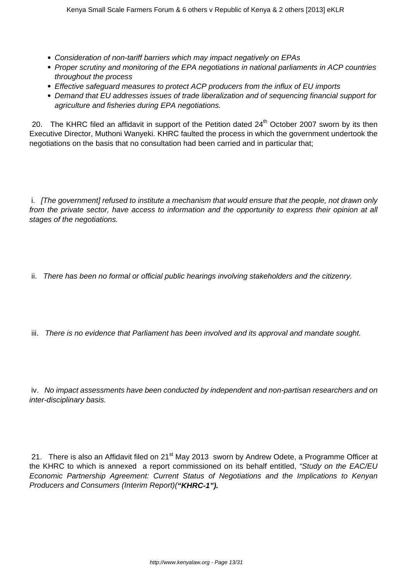- Consideration of non-tariff barriers which may impact negatively on EPAs
- Proper scrutiny and monitoring of the EPA negotiations in national parliaments in ACP countries throughout the process
- Effective safeguard measures to protect ACP producers from the influx of EU imports
- Demand that EU addresses issues of trade liberalization and of sequencing financial support for agriculture and fisheries during EPA negotiations.

20. The KHRC filed an affidavit in support of the Petition dated  $24<sup>th</sup>$  October 2007 sworn by its then Executive Director, Muthoni Wanyeki. KHRC faulted the process in which the government undertook the negotiations on the basis that no consultation had been carried and in particular that;

i. [The government] refused to institute a mechanism that would ensure that the people, not drawn only from the private sector, have access to information and the opportunity to express their opinion at all stages of the negotiations.

- ii. There has been no formal or official public hearings involving stakeholders and the citizenry.
- iii. There is no evidence that Parliament has been involved and its approval and mandate sought.

iv. No impact assessments have been conducted by independent and non-partisan researchers and on inter-disciplinary basis.

21. There is also an Affidavit filed on 21<sup>st</sup> May 2013 sworn by Andrew Odete, a Programme Officer at the KHRC to which is annexed a report commissioned on its behalf entitled, "Study on the EAC/EU Economic Partnership Agreement: Current Status of Negotiations and the Implications to Kenyan Producers and Consumers (Interim Report)(**"KHRC-1").**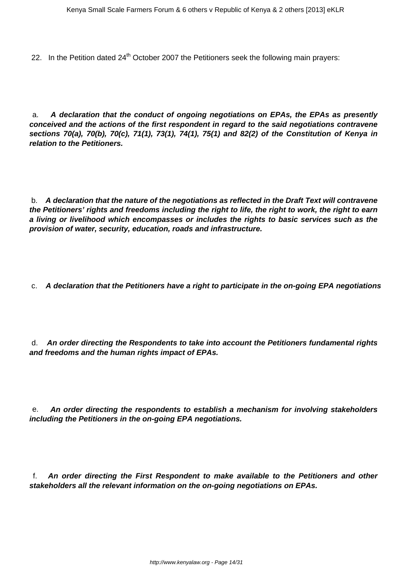22. In the Petition dated  $24<sup>th</sup>$  October 2007 the Petitioners seek the following main prayers:

a. **A declaration that the conduct of ongoing negotiations on EPAs, the EPAs as presently conceived and the actions of the first respondent in regard to the said negotiations contravene sections 70(a), 70(b), 70(c), 71(1), 73(1), 74(1), 75(1) and 82(2) of the Constitution of Kenya in relation to the Petitioners.**

b. **A declaration that the nature of the negotiations as reflected in the Draft Text will contravene the Petitioners' rights and freedoms including the right to life, the right to work, the right to earn a living or livelihood which encompasses or includes the rights to basic services such as the provision of water, security, education, roads and infrastructure.**

c. **A declaration that the Petitioners have a right to participate in the on-going EPA negotiations**

d. **An order directing the Respondents to take into account the Petitioners fundamental rights and freedoms and the human rights impact of EPAs.**

e. **An order directing the respondents to establish a mechanism for involving stakeholders including the Petitioners in the on-going EPA negotiations.**

f. **An order directing the First Respondent to make available to the Petitioners and other stakeholders all the relevant information on the on-going negotiations on EPAs.**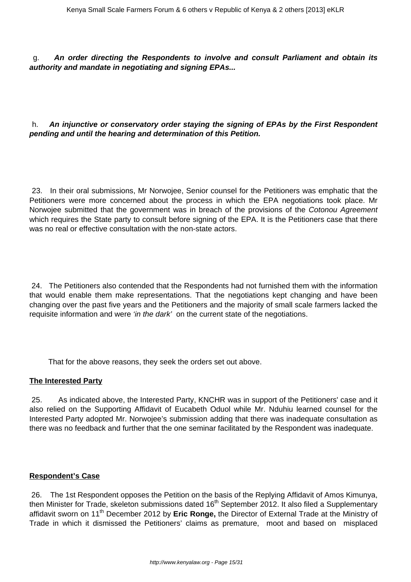g. **An order directing the Respondents to involve and consult Parliament and obtain its authority and mandate in negotiating and signing EPAs...**

## h. **An injunctive or conservatory order staying the signing of EPAs by the First Respondent pending and until the hearing and determination of this Petition.**

23. In their oral submissions, Mr Norwojee, Senior counsel for the Petitioners was emphatic that the Petitioners were more concerned about the process in which the EPA negotiations took place. Mr Norwojee submitted that the government was in breach of the provisions of the Cotonou Agreement which requires the State party to consult before signing of the EPA. It is the Petitioners case that there was no real or effective consultation with the non-state actors.

24. The Petitioners also contended that the Respondents had not furnished them with the information that would enable them make representations. That the negotiations kept changing and have been changing over the past five years and the Petitioners and the majority of small scale farmers lacked the requisite information and were 'in the dark' on the current state of the negotiations.

That for the above reasons, they seek the orders set out above.

## **The Interested Party**

25. As indicated above, the Interested Party, KNCHR was in support of the Petitioners' case and it also relied on the Supporting Affidavit of Eucabeth Oduol while Mr. Nduhiu learned counsel for the Interested Party adopted Mr. Norwojee's submission adding that there was inadequate consultation as there was no feedback and further that the one seminar facilitated by the Respondent was inadequate.

#### **Respondent's Case**

26. The 1st Respondent opposes the Petition on the basis of the Replying Affidavit of Amos Kimunya, then Minister for Trade, skeleton submissions dated 16<sup>th</sup> September 2012. It also filed a Supplementary affidavit sworn on 11<sup>th</sup> December 2012 by **Eric Ronge**, the Director of External Trade at the Ministry of Trade in which it dismissed the Petitioners' claims as premature, moot and based on misplaced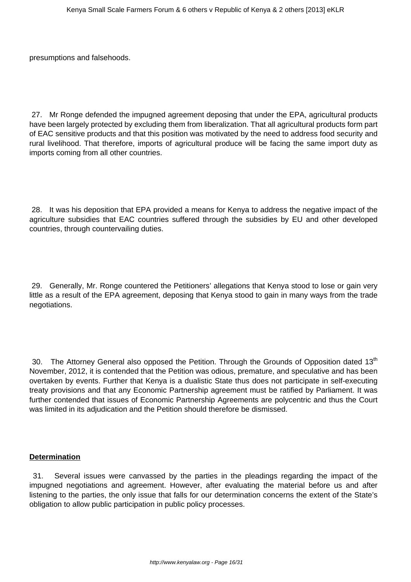presumptions and falsehoods.

27. Mr Ronge defended the impugned agreement deposing that under the EPA, agricultural products have been largely protected by excluding them from liberalization. That all agricultural products form part of EAC sensitive products and that this position was motivated by the need to address food security and rural livelihood. That therefore, imports of agricultural produce will be facing the same import duty as imports coming from all other countries.

28. It was his deposition that EPA provided a means for Kenya to address the negative impact of the agriculture subsidies that EAC countries suffered through the subsidies by EU and other developed countries, through countervailing duties.

29. Generally, Mr. Ronge countered the Petitioners' allegations that Kenya stood to lose or gain very little as a result of the EPA agreement, deposing that Kenya stood to gain in many ways from the trade negotiations.

30. The Attorney General also opposed the Petition. Through the Grounds of Opposition dated 13<sup>th</sup> November, 2012, it is contended that the Petition was odious, premature, and speculative and has been overtaken by events. Further that Kenya is a dualistic State thus does not participate in self-executing treaty provisions and that any Economic Partnership agreement must be ratified by Parliament. It was further contended that issues of Economic Partnership Agreements are polycentric and thus the Court was limited in its adjudication and the Petition should therefore be dismissed.

#### **Determination**

31. Several issues were canvassed by the parties in the pleadings regarding the impact of the impugned negotiations and agreement. However, after evaluating the material before us and after listening to the parties, the only issue that falls for our determination concerns the extent of the State's obligation to allow public participation in public policy processes.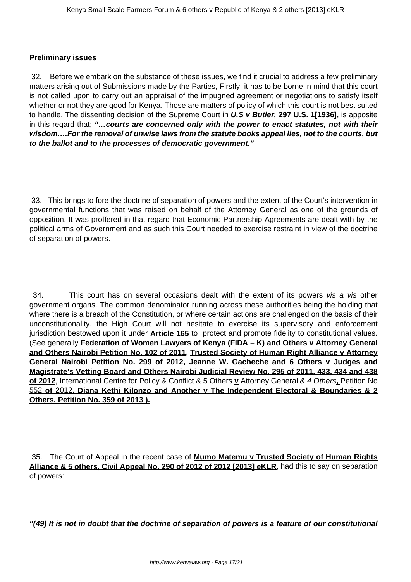#### **Preliminary issues**

32. Before we embark on the substance of these issues, we find it crucial to address a few preliminary matters arising out of Submissions made by the Parties, Firstly, it has to be borne in mind that this court is not called upon to carry out an appraisal of the impugned agreement or negotiations to satisfy itself whether or not they are good for Kenya. Those are matters of policy of which this court is not best suited to handle. The dissenting decision of the Supreme Court in **U.S v Butler, 297 U.S. 1[1936],** is apposite in this regard that; **"…courts are concerned only with the power to enact statutes, not with their wisdom….For the removal of unwise laws from the statute books appeal lies, not to the courts, but to the ballot and to the processes of democratic government."**

33. This brings to fore the doctrine of separation of powers and the extent of the Court's intervention in governmental functions that was raised on behalf of the Attorney General as one of the grounds of opposition. It was proffered in that regard that Economic Partnership Agreements are dealt with by the political arms of Government and as such this Court needed to exercise restraint in view of the doctrine of separation of powers.

34. This court has on several occasions dealt with the extent of its powers vis a vis other government organs. The common denominator running across these authorities being the holding that where there is a breach of the Constitution, or where certain actions are challenged on the basis of their unconstitutionality, the High Court will not hesitate to exercise its supervisory and enforcement jurisdiction bestowed upon it under **Article 165** to protect and promote fidelity to constitutional values. (See generally **Federation of Women Lawyers of Kenya (FIDA – K) and Others v Attorney General and Others Nairobi Petition No. 102 of 2011**, **Trusted Society of Human Right Alliance v Attorney General Nairobi Petition No. 299 of 2012, Jeanne W. Gacheche and 6 Others v Judges and Magistrate's Vetting Board and Others Nairobi Judicial Review No. 295 of 2011, 433, 434 and 438 of 2012**, International Centre for Policy & Conflict & 5 Others **v** Attorney General & 4 Others**,** Petition No 552 **of** 2012, **Diana Kethi Kilonzo and Another v The Independent Electoral & Boundaries & 2 Others, Petition No. 359 of 2013 ).**

35. The Court of Appeal in the recent case of **Mumo Matemu v Trusted Society of Human Rights** Alliance & 5 others, Civil Appeal No. 290 of 2012 of 2012 [2013] eKLR, had this to say on separation of powers:

**"(49) It is not in doubt that the doctrine of separation of powers is a feature of our constitutional**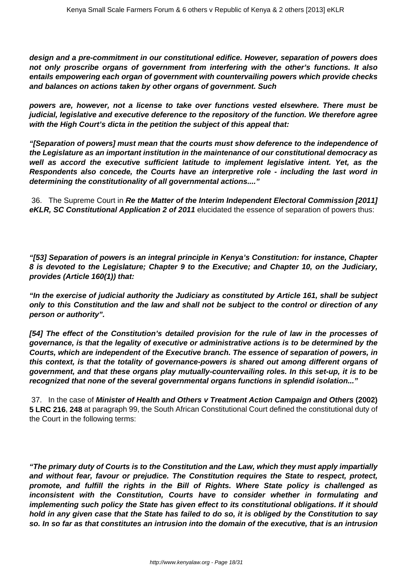**design and a pre-commitment in our constitutional edifice. However, separation of powers does not only proscribe organs of government from interfering with the other's functions. It also entails empowering each organ of government with countervailing powers which provide checks and balances on actions taken by other organs of government. Such**

**powers are, however, not a license to take over functions vested elsewhere. There must be judicial, legislative and executive deference to the repository of the function. We therefore agree with the High Court's dicta in the petition the subject of this appeal that:**

**"[Separation of powers] must mean that the courts must show deference to the independence of the Legislature as an important institution in the maintenance of our constitutional democracy as well as accord the executive sufficient latitude to implement legislative intent. Yet, as the Respondents also concede, the Courts have an interpretive role - including the last word in determining the constitutionality of all governmental actions...."**

36. The Supreme Court in **Re the Matter of the Interim Independent Electoral Commission [2011] eKLR, SC Constitutional Application 2 of 2011** elucidated the essence of separation of powers thus:

**"[53] Separation of powers is an integral principle in Kenya's Constitution: for instance, Chapter 8 is devoted to the Legislature; Chapter 9 to the Executive; and Chapter 10, on the Judiciary, provides (Article 160(1)) that:**

**"In the exercise of judicial authority the Judiciary as constituted by Article 161, shall be subject only to this Constitution and the law and shall not be subject to the control or direction of any person or authority".**

**[54] The effect of the Constitution's detailed provision for the rule of law in the processes of governance, is that the legality of executive or administrative actions is to be determined by the Courts, which are independent of the Executive branch. The essence of separation of powers, in this context, is that the totality of governance-powers is shared out among different organs of government, and that these organs play mutually-countervailing roles. In this set-up, it is to be recognized that none of the several governmental organs functions in splendid isolation..."**

37. In the case of **Minister of Health and Others v Treatment Action Campaign and Others (2002) 5 LRC 216**, **248** at paragraph 99, the South African Constitutional Court defined the constitutional duty of the Court in the following terms:

**"The primary duty of Courts is to the Constitution and the Law, which they must apply impartially and without fear, favour or prejudice. The Constitution requires the State to respect, protect, promote, and fulfill the rights in the Bill of Rights. Where State policy is challenged as inconsistent with the Constitution, Courts have to consider whether in formulating and implementing such policy the State has given effect to its constitutional obligations. If it should hold in any given case that the State has failed to do so, it is obliged by the Constitution to say so. In so far as that constitutes an intrusion into the domain of the executive, that is an intrusion**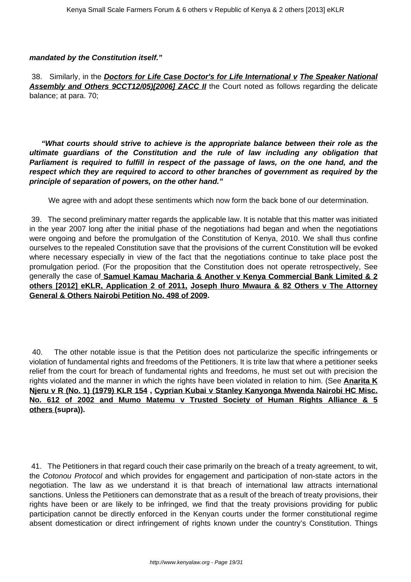#### **mandated by the Constitution itself."**

38. Similarly, in the **Doctors for Life Case Doctor's for Life International v The Speaker National Assembly and Others 9CCT12/05)[2006] ZACC II** the Court noted as follows regarding the delicate balance; at para. 70;

**"What courts should strive to achieve is the appropriate balance between their role as the ultimate guardians of the Constitution and the rule of law including any obligation that Parliament is required to fulfill in respect of the passage of laws, on the one hand, and the respect which they are required to accord to other branches of government as required by the principle of separation of powers, on the other hand."**

We agree with and adopt these sentiments which now form the back bone of our determination.

39. The second preliminary matter regards the applicable law. It is notable that this matter was initiated in the year 2007 long after the initial phase of the negotiations had began and when the negotiations were ongoing and before the promulgation of the Constitution of Kenya, 2010. We shall thus confine ourselves to the repealed Constitution save that the provisions of the current Constitution will be evoked where necessary especially in view of the fact that the negotiations continue to take place post the promulgation period. (For the proposition that the Constitution does not operate retrospectively, See generally the case of **Samuel Kamau Macharia & Another v Kenya Commercial Bank Limited & 2 others [2012] eKLR, Application 2 of 2011, Joseph Ihuro Mwaura & 82 Others v The Attorney General & Others Nairobi Petition No. 498 of 2009.**

40. The other notable issue is that the Petition does not particularize the specific infringements or violation of fundamental rights and freedoms of the Petitioners. It is trite law that where a petitioner seeks relief from the court for breach of fundamental rights and freedoms, he must set out with precision the rights violated and the manner in which the rights have been violated in relation to him. (See **Anarita K Njeru v R (No. 1) (1979) KLR 154 , Cyprian Kubai v Stanley Kanyonga Mwenda Nairobi HC Misc. No. 612 of 2002 and Mumo Matemu v Trusted Society of Human Rights Alliance & 5 others (supra)).** 

41. The Petitioners in that regard couch their case primarily on the breach of a treaty agreement, to wit, the Cotonou Protocol and which provides for engagement and participation of non-state actors in the negotiation. The law as we understand it is that breach of international law attracts international sanctions. Unless the Petitioners can demonstrate that as a result of the breach of treaty provisions, their rights have been or are likely to be infringed, we find that the treaty provisions providing for public participation cannot be directly enforced in the Kenyan courts under the former constitutional regime absent domestication or direct infringement of rights known under the country's Constitution. Things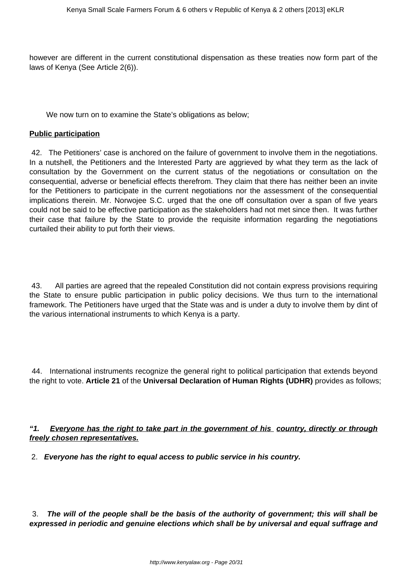however are different in the current constitutional dispensation as these treaties now form part of the laws of Kenya (See Article 2(6)).

We now turn on to examine the State's obligations as below;

#### **Public participation**

42. The Petitioners' case is anchored on the failure of government to involve them in the negotiations. In a nutshell, the Petitioners and the Interested Party are aggrieved by what they term as the lack of consultation by the Government on the current status of the negotiations or consultation on the consequential, adverse or beneficial effects therefrom. They claim that there has neither been an invite for the Petitioners to participate in the current negotiations nor the assessment of the consequential implications therein. Mr. Norwojee S.C. urged that the one off consultation over a span of five years could not be said to be effective participation as the stakeholders had not met since then. It was further their case that failure by the State to provide the requisite information regarding the negotiations curtailed their ability to put forth their views.

43. All parties are agreed that the repealed Constitution did not contain express provisions requiring the State to ensure public participation in public policy decisions. We thus turn to the international framework. The Petitioners have urged that the State was and is under a duty to involve them by dint of the various international instruments to which Kenya is a party.

44. International instruments recognize the general right to political participation that extends beyond the right to vote. **Article 21** of the **Universal Declaration of Human Rights (UDHR)** provides as follows;

**"1. Everyone has the right to take part in the government of his country, directly or through freely chosen representatives.**

2. **Everyone has the right to equal access to public service in his country.**

3. **The will of the people shall be the basis of the authority of government; this will shall be expressed in periodic and genuine elections which shall be by universal and equal suffrage and**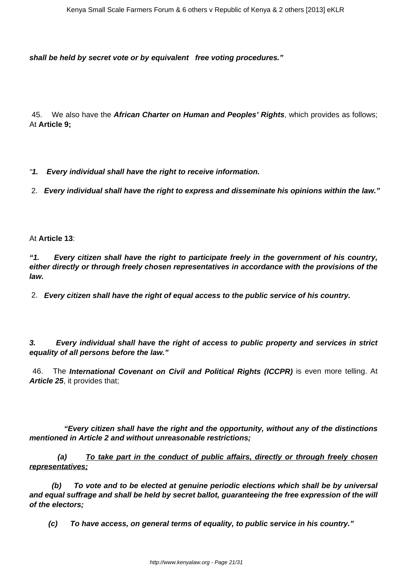**shall be held by secret vote or by equivalent free voting procedures."**

45. We also have the **African Charter on Human and Peoples' Rights**, which provides as follows; At **Article 9;**

"**1. Every individual shall have the right to receive information.**

2. **Every individual shall have the right to express and disseminate his opinions within the law."**

At **Article 13**:

**"1. Every citizen shall have the right to participate freely in the government of his country, either directly or through freely chosen representatives in accordance with the provisions of the law.**

2. **Every citizen shall have the right of equal access to the public service of his country.**

**3. Every individual shall have the right of access to public property and services in strict equality of all persons before the law."**

46. The **International Covenant on Civil and Political Rights (ICCPR)** is even more telling. At **Article 25**, it provides that;

 **"Every citizen shall have the right and the opportunity, without any of the distinctions mentioned in Article 2 and without unreasonable restrictions;**

 **(a) To take part in the conduct of public affairs, directly or through freely chosen representatives;**

 **(b) To vote and to be elected at genuine periodic elections which shall be by universal and equal suffrage and shall be held by secret ballot, guaranteeing the free expression of the will of the electors;**

 **(c) To have access, on general terms of equality, to public service in his country."**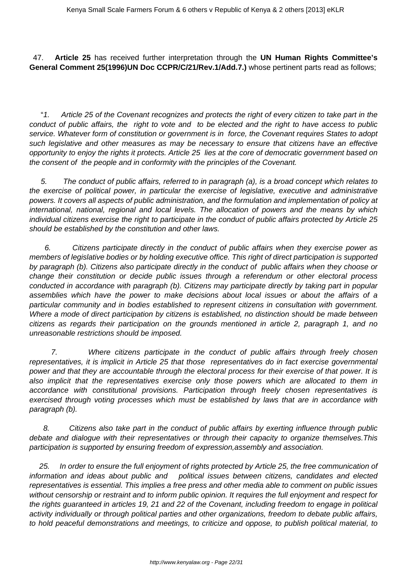47. **Article 25** has received further interpretation through the **UN Human Rights Committee's General Comment 25(1996)UN Doc CCPR/C/21/Rev.1/Add.7.)** whose pertinent parts read as follows;

 "1. Article 25 of the Covenant recognizes and protects the right of every citizen to take part in the conduct of public affairs, the right to vote and to be elected and the right to have access to public service. Whatever form of constitution or government is in force, the Covenant requires States to adopt such legislative and other measures as may be necessary to ensure that citizens have an effective opportunity to enjoy the rights it protects. Article 25 lies at the core of democratic government based on the consent of the people and in conformity with the principles of the Covenant.

 5. The conduct of public affairs, referred to in paragraph (a), is a broad concept which relates to the exercise of political power, in particular the exercise of legislative, executive and administrative powers. It covers all aspects of public administration, and the formulation and implementation of policy at international, national, regional and local levels. The allocation of powers and the means by which individual citizens exercise the right to participate in the conduct of public affairs protected by Article 25 should be established by the constitution and other laws.

 6. Citizens participate directly in the conduct of public affairs when they exercise power as members of legislative bodies or by holding executive office. This right of direct participation is supported by paragraph (b). Citizens also participate directly in the conduct of public affairs when they choose or change their constitution or decide public issues through a referendum or other electoral process conducted in accordance with paragraph (b). Citizens may participate directly by taking part in popular assemblies which have the power to make decisions about local issues or about the affairs of a particular community and in bodies established to represent citizens in consultation with government. Where a mode of direct participation by citizens is established, no distinction should be made between citizens as regards their participation on the grounds mentioned in article 2, paragraph 1, and no unreasonable restrictions should be imposed.

 7. Where citizens participate in the conduct of public affairs through freely chosen representatives, it is implicit in Article 25 that those representatives do in fact exercise governmental power and that they are accountable through the electoral process for their exercise of that power. It is also implicit that the representatives exercise only those powers which are allocated to them in accordance with constitutional provisions. Participation through freely chosen representatives is exercised through voting processes which must be established by laws that are in accordance with paragraph (b).

 8. Citizens also take part in the conduct of public affairs by exerting influence through public debate and dialogue with their representatives or through their capacity to organize themselves.This participation is supported by ensuring freedom of expression,assembly and association.

 25. In order to ensure the full enjoyment of rights protected by Article 25, the free communication of information and ideas about public and political issues between citizens, candidates and elected representatives is essential. This implies a free press and other media able to comment on public issues without censorship or restraint and to inform public opinion. It requires the full enjoyment and respect for the rights guaranteed in articles 19, 21 and 22 of the Covenant, including freedom to engage in political activity individually or through political parties and other organizations, freedom to debate public affairs, to hold peaceful demonstrations and meetings, to criticize and oppose, to publish political material, to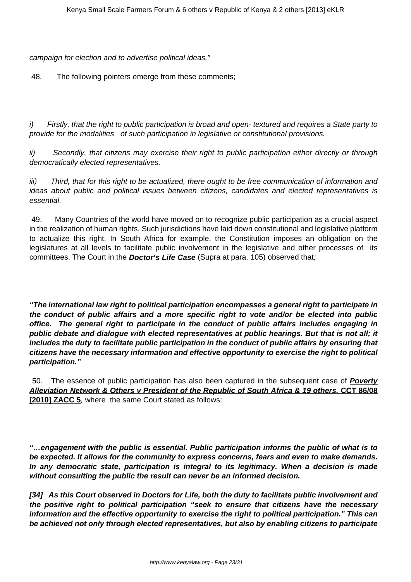campaign for election and to advertise political ideas."

48. The following pointers emerge from these comments;

i) Firstly, that the right to public participation is broad and open- textured and requires a State party to provide for the modalities of such participation in legislative or constitutional provisions.

ii) Secondly, that citizens may exercise their right to public participation either directly or through democratically elected representatives.

iii) Third, that for this right to be actualized, there ought to be free communication of information and ideas about public and political issues between citizens, candidates and elected representatives is essential.

49. Many Countries of the world have moved on to recognize public participation as a crucial aspect in the realization of human rights. Such jurisdictions have laid down constitutional and legislative platform to actualize this right. In South Africa for example, the Constitution imposes an obligation on the legislatures at all levels to facilitate public involvement in the legislative and other processes of its committees. The Court in the **Doctor's Life Case** (Supra at para. 105) observed that;

**"The international law right to political participation encompasses a general right to participate in the conduct of public affairs and a more specific right to vote and/or be elected into public office. The general right to participate in the conduct of public affairs includes engaging in public debate and dialogue with elected representatives at public hearings. But that is not all; it includes the duty to facilitate public participation in the conduct of public affairs by ensuring that citizens have the necessary information and effective opportunity to exercise the right to political participation."**

50. The essence of public participation has also been captured in the subsequent case of **Poverty Alleviation Network & Others v President of the Republic of South Africa & 19 others, CCT 86/08 [2010] ZACC 5**, where the same Court stated as follows:

**"…engagement with the public is essential. Public participation informs the public of what is to be expected. It allows for the community to express concerns, fears and even to make demands. In any democratic state, participation is integral to its legitimacy. When a decision is made without consulting the public the result can never be an informed decision.** 

**[34] As this Court observed in Doctors for Life, both the duty to facilitate public involvement and the positive right to political participation "seek to ensure that citizens have the necessary information and the effective opportunity to exercise the right to political participation." This can be achieved not only through elected representatives, but also by enabling citizens to participate**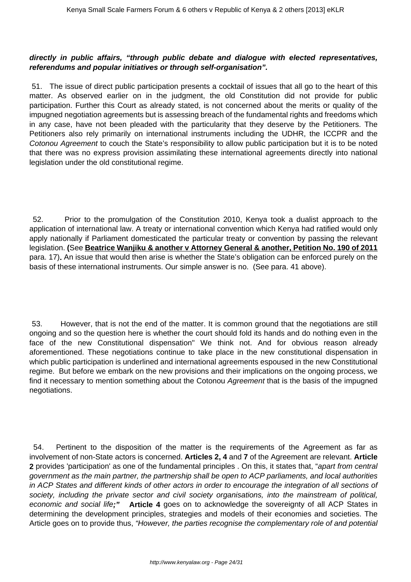## **directly in public affairs, "through public debate and dialogue with elected representatives, referendums and popular initiatives or through self-organisation".**

51. The issue of direct public participation presents a cocktail of issues that all go to the heart of this matter. As observed earlier on in the judgment, the old Constitution did not provide for public participation. Further this Court as already stated, is not concerned about the merits or quality of the impugned negotiation agreements but is assessing breach of the fundamental rights and freedoms which in any case, have not been pleaded with the particularity that they deserve by the Petitioners. The Petitioners also rely primarily on international instruments including the UDHR, the ICCPR and the Cotonou Agreement to couch the State's responsibility to allow public participation but it is to be noted that there was no express provision assimilating these international agreements directly into national legislation under the old constitutional regime.

52. Prior to the promulgation of the Constitution 2010, Kenya took a dualist approach to the application of international law. A treaty or international convention which Kenya had ratified would only apply nationally if Parliament domesticated the particular treaty or convention by passing the relevant legislation. **(**See **Beatrice Wanjiku & another v Attorney General & another, Petition No. 190 of 2011** para. 17)**.** An issue that would then arise is whether the State's obligation can be enforced purely on the basis of these international instruments. Our simple answer is no. (See para. 41 above).

53. However, that is not the end of the matter. It is common ground that the negotiations are still ongoing and so the question here is whether the court should fold its hands and do nothing even in the face of the new Constitutional dispensation" We think not. And for obvious reason already aforementioned. These negotiations continue to take place in the new constitutional dispensation in which public participation is underlined and international agreements espoused in the new Constitutional regime. But before we embark on the new provisions and their implications on the ongoing process, we find it necessary to mention something about the Cotonou Agreement that is the basis of the impugned negotiations.

54. Pertinent to the disposition of the matter is the requirements of the Agreement as far as involvement of non-State actors is concerned. **Articles 2, 4** and **7** of the Agreement are relevant. **Article 2** provides 'participation' as one of the fundamental principles . On this, it states that, "apart from central government as the main partner, the partnership shall be open to ACP parliaments, and local authorities in ACP States and different kinds of other actors in order to encourage the integration of all sections of society, including the private sector and civil society organisations, into the mainstream of political, economic and social life**;" Article 4** goes on to acknowledge the sovereignty of all ACP States in determining the development principles, strategies and models of their economies and societies. The Article goes on to provide thus, "However, the parties recognise the complementary role of and potential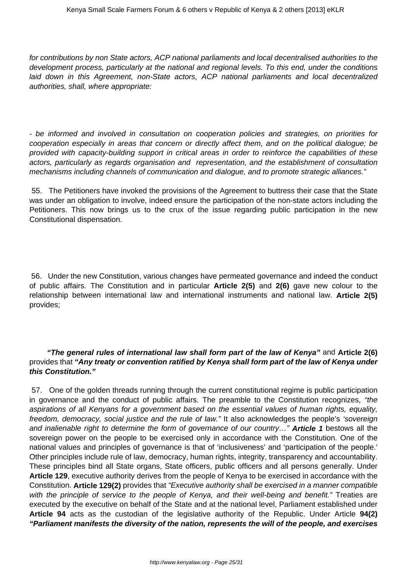for contributions by non State actors, ACP national parliaments and local decentralised authorities to the development process, particularly at the national and regional levels. To this end, under the conditions laid down in this Agreement, non-State actors, ACP national parliaments and local decentralized authorities, shall, where appropriate:

- be informed and involved in consultation on cooperation policies and strategies, on priorities for cooperation especially in areas that concern or directly affect them, and on the political dialogue; be provided with capacity-building support in critical areas in order to reinforce the capabilities of these actors, particularly as regards organisation and representation, and the establishment of consultation mechanisms including channels of communication and dialogue, and to promote strategic alliances."

55. The Petitioners have invoked the provisions of the Agreement to buttress their case that the State was under an obligation to involve, indeed ensure the participation of the non-state actors including the Petitioners. This now brings us to the crux of the issue regarding public participation in the new Constitutional dispensation.

56. Under the new Constitution, various changes have permeated governance and indeed the conduct of public affairs. The Constitution and in particular **Article 2(5)** and **2(6)** gave new colour to the relationship between international law and international instruments and national law. **Article 2(5)** provides;

## **"The general rules of international law shall form part of the law of Kenya"** and **Article 2(6)** provides that **"Any treaty or convention ratified by Kenya shall form part of the law of Kenya under this Constitution."**

57. One of the golden threads running through the current constitutional regime is public participation in governance and the conduct of public affairs. The preamble to the Constitution recognizes, "the aspirations of all Kenyans for a government based on the essential values of human rights, equality, freedom, democracy, social justice and the rule of law." It also acknowledges the people's 'sovereign and inalienable right to determine the form of governance of our country…" **Article 1** bestows all the sovereign power on the people to be exercised only in accordance with the Constitution. One of the national values and principles of governance is that of 'inclusiveness' and 'participation of the people.' Other principles include rule of law, democracy, human rights, integrity, transparency and accountability. These principles bind all State organs, State officers, public officers and all persons generally. Under **Article 129**, executive authority derives from the people of Kenya to be exercised in accordance with the Constitution. **Article 129(2)** provides that "Executive authority shall be exercised in a manner compatible with the principle of service to the people of Kenya, and their well-being and benefit." Treaties are executed by the executive on behalf of the State and at the national level, Parliament established under **Article 94** acts as the custodian of the legislative authority of the Republic. Under Article **94(2) "Parliament manifests the diversity of the nation, represents the will of the people, and exercises**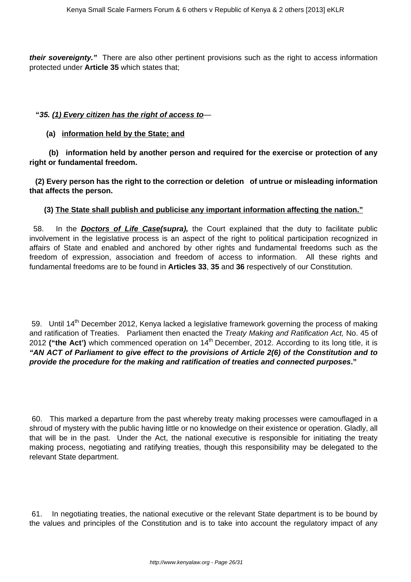**their sovereignty."** There are also other pertinent provisions such as the right to access information protected under **Article 35** which states that;

#### **"35. (1) Every citizen has the right of access to**—

 **(a) information held by the State; and**

 **(b) information held by another person and required for the exercise or protection of any right or fundamental freedom.** 

 **(2) Every person has the right to the correction or deletion of untrue or misleading information that affects the person.**

#### **(3) The State shall publish and publicise any important information affecting the nation."**

58. In the **Doctors of Life Case(supra),** the Court explained that the duty to facilitate public involvement in the legislative process is an aspect of the right to political participation recognized in affairs of State and enabled and anchored by other rights and fundamental freedoms such as the freedom of expression, association and freedom of access to information. All these rights and fundamental freedoms are to be found in **Articles 33**, **35** and **36** respectively of our Constitution.

59. Until 14<sup>th</sup> December 2012, Kenya lacked a legislative framework governing the process of making and ratification of Treaties. Parliament then enacted the Treaty Making and Ratification Act, No. 45 of 2012 ("the Act') which commenced operation on 14<sup>th</sup> December, 2012. According to its long title, it is **"AN ACT of Parliament to give effect to the provisions of Article 2(6) of the Constitution and to provide the procedure for the making and ratification of treaties and connected purposes."** 

60. This marked a departure from the past whereby treaty making processes were camouflaged in a shroud of mystery with the public having little or no knowledge on their existence or operation. Gladly, all that will be in the past. Under the Act, the national executive is responsible for initiating the treaty making process, negotiating and ratifying treaties, though this responsibility may be delegated to the relevant State department.

61. In negotiating treaties, the national executive or the relevant State department is to be bound by the values and principles of the Constitution and is to take into account the regulatory impact of any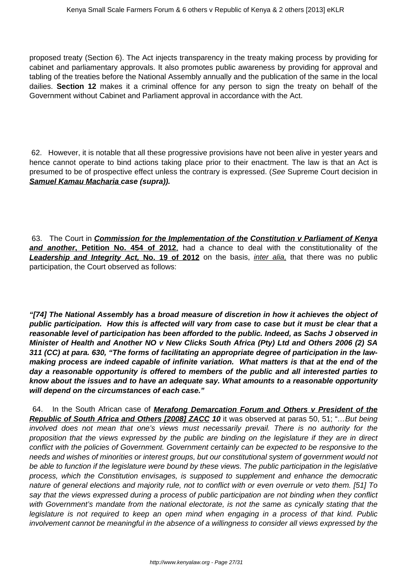proposed treaty (Section 6). The Act injects transparency in the treaty making process by providing for cabinet and parliamentary approvals. It also promotes public awareness by providing for approval and tabling of the treaties before the National Assembly annually and the publication of the same in the local dailies. **Section 12** makes it a criminal offence for any person to sign the treaty on behalf of the Government without Cabinet and Parliament approval in accordance with the Act.

62. However, it is notable that all these progressive provisions have not been alive in yester years and hence cannot operate to bind actions taking place prior to their enactment. The law is that an Act is presumed to be of prospective effect unless the contrary is expressed. (See Supreme Court decision in **Samuel Kamau Macharia case (supra)).** 

63. The Court in **Commission for the Implementation of the Constitution v Parliament of Kenya and another, Petition No. 454 of 2012**, had a chance to deal with the constitutionality of the **Leadership and Integrity Act, No. 19 of 2012** on the basis, *inter alia*, that there was no public participation, the Court observed as follows:

**"[74] The National Assembly has a broad measure of discretion in how it achieves the object of public participation. How this is affected will vary from case to case but it must be clear that a reasonable level of participation has been afforded to the public. Indeed, as Sachs J observed in Minister of Health and Another NO v New Clicks South Africa (Pty) Ltd and Others 2006 (2) SA 311 (CC) at para. 630, "The forms of facilitating an appropriate degree of participation in the lawmaking process are indeed capable of infinite variation. What matters is that at the end of the day a reasonable opportunity is offered to members of the public and all interested parties to know about the issues and to have an adequate say. What amounts to a reasonable opportunity will depend on the circumstances of each case."**

64. In the South African case of **Merafong Demarcation Forum and Others v President of the Republic of South Africa and Others [2008] ZACC 10** it was observed at paras 50, 51; "...But being involved does not mean that one's views must necessarily prevail. There is no authority for the proposition that the views expressed by the public are binding on the legislature if they are in direct conflict with the policies of Government. Government certainly can be expected to be responsive to the needs and wishes of minorities or interest groups, but our constitutional system of government would not be able to function if the legislature were bound by these views. The public participation in the legislative process, which the Constitution envisages, is supposed to supplement and enhance the democratic nature of general elections and majority rule, not to conflict with or even overrule or veto them. [51] To say that the views expressed during a process of public participation are not binding when they conflict with Government's mandate from the national electorate, is not the same as cynically stating that the legislature is not required to keep an open mind when engaging in a process of that kind. Public involvement cannot be meaningful in the absence of a willingness to consider all views expressed by the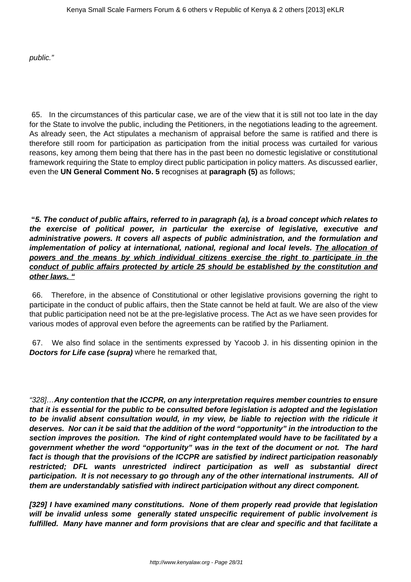public."

65. In the circumstances of this particular case, we are of the view that it is still not too late in the day for the State to involve the public, including the Petitioners, in the negotiations leading to the agreement. As already seen, the Act stipulates a mechanism of appraisal before the same is ratified and there is therefore still room for participation as participation from the initial process was curtailed for various reasons, key among them being that there has in the past been no domestic legislative or constitutional framework requiring the State to employ direct public participation in policy matters. As discussed earlier, even the **UN General Comment No. 5** recognises at **paragraph (5)** as follows;

**"5. The conduct of public affairs, referred to in paragraph (a), is a broad concept which relates to the exercise of political power, in particular the exercise of legislative, executive and administrative powers. It covers all aspects of public administration, and the formulation and implementation of policy at international, national, regional and local levels. The allocation of powers and the means by which individual citizens exercise the right to participate in the conduct of public affairs protected by article 25 should be established by the constitution and other laws. "**

66. Therefore, in the absence of Constitutional or other legislative provisions governing the right to participate in the conduct of public affairs, then the State cannot be held at fault. We are also of the view that public participation need not be at the pre-legislative process. The Act as we have seen provides for various modes of approval even before the agreements can be ratified by the Parliament.

67. We also find solace in the sentiments expressed by Yacoob J. in his dissenting opinion in the **Doctors for Life case (supra)** where he remarked that,

"328]…**Any contention that the ICCPR, on any interpretation requires member countries to ensure that it is essential for the public to be consulted before legislation is adopted and the legislation to be invalid absent consultation would, in my view, be liable to rejection with the ridicule it deserves. Nor can it be said that the addition of the word "opportunity" in the introduction to the section improves the position. The kind of right contemplated would have to be facilitated by a government whether the word "opportunity" was in the text of the document or not. The hard fact is though that the provisions of the ICCPR are satisfied by indirect participation reasonably restricted; DFL wants unrestricted indirect participation as well as substantial direct participation. It is not necessary to go through any of the other international instruments. All of them are understandably satisfied with indirect participation without any direct component.**

**[329] I have examined many constitutions. None of them properly read provide that legislation will be invalid unless some generally stated unspecific requirement of public involvement is fulfilled. Many have manner and form provisions that are clear and specific and that facilitate a**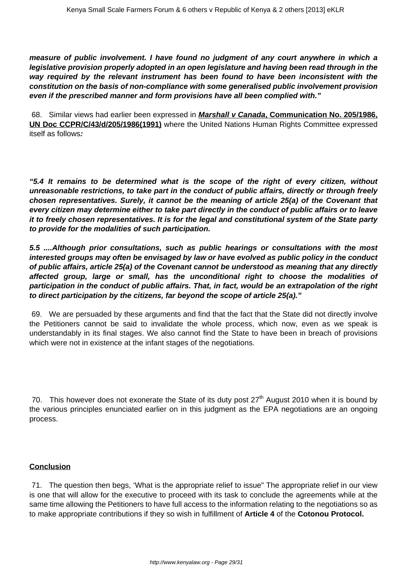**measure of public involvement. I have found no judgment of any court anywhere in which a legislative provision properly adopted in an open legislature and having been read through in the way required by the relevant instrument has been found to have been inconsistent with the constitution on the basis of non-compliance with some generalised public involvement provision even if the prescribed manner and form provisions have all been complied with."**

68. Similar views had earlier been expressed in **Marshall v Canada, Communication No. 205/1986, UN Doc CCPR/C/43/d/205/1986(1991)** where the United Nations Human Rights Committee expressed itself as follows**:**

**"5.4 It remains to be determined what is the scope of the right of every citizen, without unreasonable restrictions, to take part in the conduct of public affairs, directly or through freely chosen representatives. Surely, it cannot be the meaning of article 25(a) of the Covenant that every citizen may determine either to take part directly in the conduct of public affairs or to leave it to freely chosen representatives. It is for the legal and constitutional system of the State party to provide for the modalities of such participation.**

**5.5 ....Although prior consultations, such as public hearings or consultations with the most interested groups may often be envisaged by law or have evolved as public policy in the conduct of public affairs, article 25(a) of the Covenant cannot be understood as meaning that any directly affected group, large or small, has the unconditional right to choose the modalities of participation in the conduct of public affairs. That, in fact, would be an extrapolation of the right to direct participation by the citizens, far beyond the scope of article 25(a)."**

69. We are persuaded by these arguments and find that the fact that the State did not directly involve the Petitioners cannot be said to invalidate the whole process, which now, even as we speak is understandably in its final stages. We also cannot find the State to have been in breach of provisions which were not in existence at the infant stages of the negotiations.

70. This however does not exonerate the State of its duty post  $27<sup>th</sup>$  August 2010 when it is bound by the various principles enunciated earlier on in this judgment as the EPA negotiations are an ongoing process.

## **Conclusion**

71. The question then begs, 'What is the appropriate relief to issue" The appropriate relief in our view is one that will allow for the executive to proceed with its task to conclude the agreements while at the same time allowing the Petitioners to have full access to the information relating to the negotiations so as to make appropriate contributions if they so wish in fulfillment of **Article 4** of the **Cotonou Protocol.**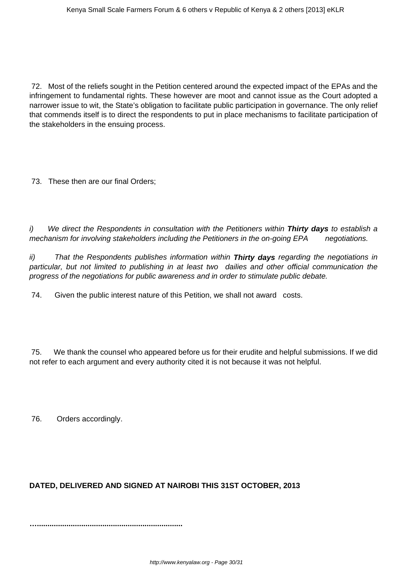72. Most of the reliefs sought in the Petition centered around the expected impact of the EPAs and the infringement to fundamental rights. These however are moot and cannot issue as the Court adopted a narrower issue to wit, the State's obligation to facilitate public participation in governance. The only relief that commends itself is to direct the respondents to put in place mechanisms to facilitate participation of the stakeholders in the ensuing process.

73. These then are our final Orders;

i) We direct the Respondents in consultation with the Petitioners within **Thirty days** to establish a mechanism for involving stakeholders including the Petitioners in the on-going EPA negotiations.

ii) That the Respondents publishes information within **Thirty days** regarding the negotiations in particular, but not limited to publishing in at least two dailies and other official communication the progress of the negotiations for public awareness and in order to stimulate public debate.

74. Given the public interest nature of this Petition, we shall not award costs.

75. We thank the counsel who appeared before us for their erudite and helpful submissions. If we did not refer to each argument and every authority cited it is not because it was not helpful.

76. Orders accordingly.

# **DATED, DELIVERED AND SIGNED AT NAIROBI THIS 31ST OCTOBER, 2013**

**….....................................................................**